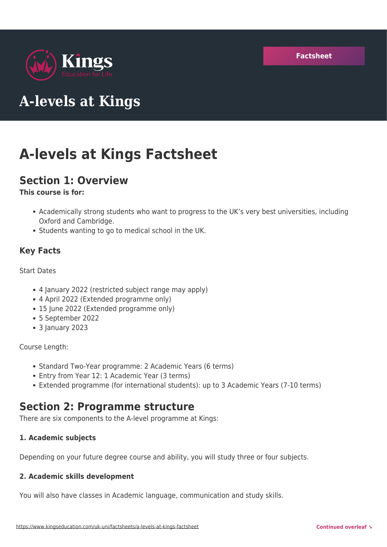

# **A-levels at Kings**

# **A-levels at Kings Factsheet**

# **Section 1: Overview**

### **This course is for:**

- Academically strong students who want to progress to the UK's very best universities, including Oxford and Cambridge.
- Students wanting to go to medical school in the UK.

## **Key Facts**

#### Start Dates

- 4 January 2022 (restricted subject range may apply)
- 4 April 2022 (Extended programme only)
- 15 June 2022 (Extended programme only)
- 5 September 2022
- 3 January 2023

#### Course Length:

- Standard Two-Year programme: 2 Academic Years (6 terms)
- Entry from Year 12: 1 Academic Year (3 terms)
- Extended programme (for international students): up to 3 Academic Years (7-10 terms)

# **Section 2: Programme structure**

There are six components to the A-level programme at Kings:

#### **1. Academic subjects**

Depending on your future degree course and ability, you will study three or four subjects.

#### **2. Academic skills development**

You will also have classes in Academic language, communication and study skills.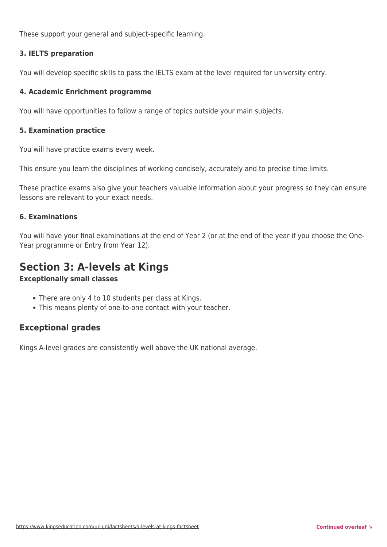These support your general and subject-specific learning.

#### **3. IELTS preparation**

You will develop specific skills to pass the IELTS exam at the level required for university entry.

#### **4. Academic Enrichment programme**

You will have opportunities to follow a range of topics outside your main subjects.

#### **5. Examination practice**

You will have practice exams every week.

This ensure you learn the disciplines of working concisely, accurately and to precise time limits.

These practice exams also give your teachers valuable information about your progress so they can ensure lessons are relevant to your exact needs.

#### **6. Examinations**

You will have your final examinations at the end of Year 2 (or at the end of the year if you choose the One-Year programme or Entry from Year 12).

## **Section 3: A-levels at Kings**

#### **Exceptionally small classes**

- There are only 4 to 10 students per class at Kings.
- This means plenty of one-to-one contact with your teacher.

### **Exceptional grades**

Kings A-level grades are consistently well above the UK national average.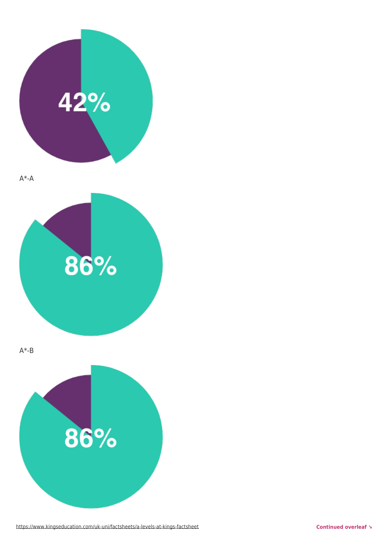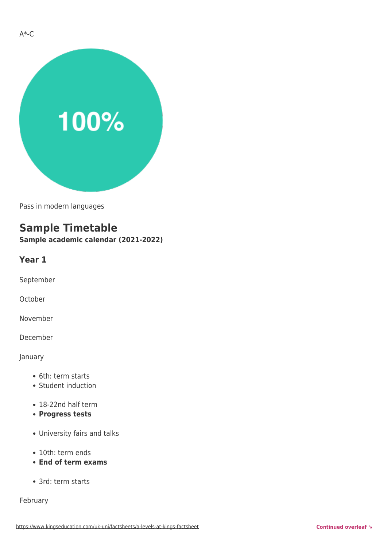

Pass in modern languages

## **Sample Timetable**

**Sample academic calendar (2021-2022)**

#### **Year 1**

September

October

November

December

#### January

- 6th: term starts
- Student induction
- 18-22nd half term
- **Progress tests**
- University fairs and talks
- 10th: term ends
- **End of term exams**
- 3rd: term starts

February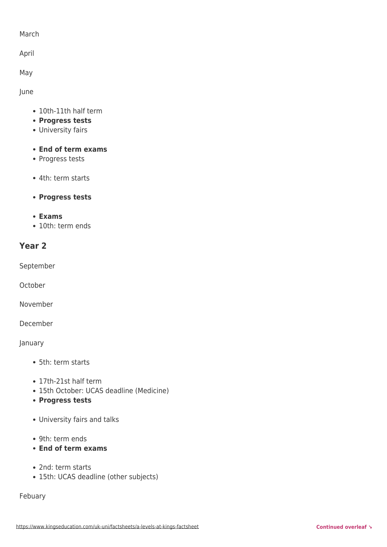#### March

April

May

June

- 10th-11th half term
- **Progress tests**
- University fairs
- **End of term exams**
- Progress tests
- 4th: term starts
- **Progress tests**
- **Exams**
- 10th: term ends

## **Year 2**

September

**October** 

November

December

January

- 5th: term starts
- 17th-21st half term
- 15th October: UCAS deadline (Medicine)
- **Progress tests**
- University fairs and talks
- 9th: term ends
- **End of term exams**
- 2nd: term starts
- 15th: UCAS deadline (other subjects)

Febuary